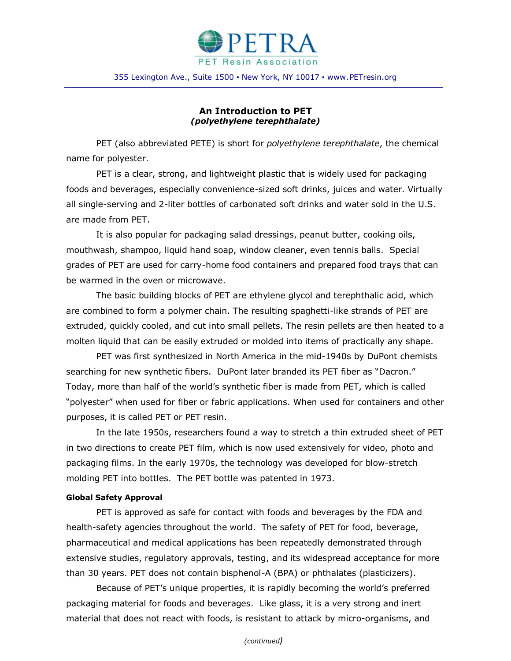

## **An Introduction to PET** *(polyethylene terephthalate)*

PET (also abbreviated PETE) is short for *polyethylene terephthalate*, the chemical name for polyester.

PET is a clear, strong, and lightweight plastic that is widely used for packaging foods and beverages, especially convenience-sized soft drinks, juices and water. Virtually all single-serving and 2-liter bottles of carbonated soft drinks and water sold in the U.S. are made from PET.

It is also popular for packaging salad dressings, peanut butter, cooking oils, mouthwash, shampoo, liquid hand soap, window cleaner, even tennis balls. Special grades of PET are used for carry-home food containers and prepared food trays that can be warmed in the oven or microwave.

The basic building blocks of PET are ethylene glycol and terephthalic acid, which are combined to form a polymer chain. The resulting spaghetti-like strands of PET are extruded, quickly cooled, and cut into small pellets. The resin pellets are then heated to a molten liquid that can be easily extruded or molded into items of practically any shape.

PET was first synthesized in North America in the mid-1940s by DuPont chemists searching for new synthetic fibers. DuPont later branded its PET fiber as "Dacron." Today, more than half of the world's synthetic fiber is made from PET, which is called "polyester" when used for fiber or fabric applications. When used for containers and other purposes, it is called PET or PET resin.

In the late 1950s, researchers found a way to stretch a thin extruded sheet of PET in two directions to create PET film, which is now used extensively for video, photo and packaging films. In the early 1970s, the technology was developed for blow-stretch molding PET into bottles. The PET bottle was patented in 1973.

## **Global Safety Approval**

PET is approved as safe for contact with foods and beverages by the FDA and health-safety agencies throughout the world. The safety of PET for food, beverage, pharmaceutical and medical applications has been repeatedly demonstrated through extensive studies, regulatory approvals, testing, and its widespread acceptance for more than 30 years. PET does not contain bisphenol-A (BPA) or phthalates (plasticizers).

Because of PET's unique properties, it is rapidly becoming the world's preferred packaging material for foods and beverages. Like glass, it is a very strong and inert material that does not react with foods, is resistant to attack by micro-organisms, and